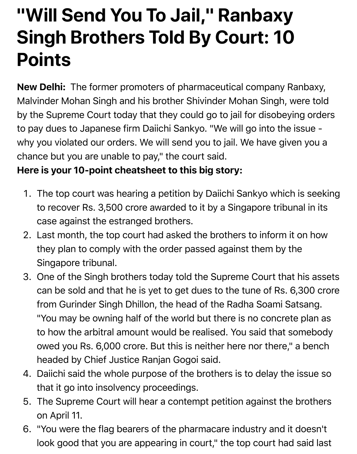## **"Will Send You To Jail," Ranbaxy Singh Brothers Told By Court: 10 Points**

**New Delhi:** The former promoters of pharmaceutical company Ranbaxy, Malvinder Mohan Singh and his brother Shivinder Mohan Singh, were told by the Supreme Court today that they could go to jail for disobeying orders to pay dues to Japanese firm Daiichi Sankyo. "We will go into the issue why you violated our orders. We will send you to jail. We have given you a chance but you are unable to pay," the court said.

## **Here is your 10-point cheatsheet to this big story:**

- 1. The top court was hearing a petition by Daiichi Sankyo which is seeking to recover Rs. 3,500 crore awarded to it by a Singapore tribunal in its case against the estranged brothers.
- 2. Last month, the top court had asked the brothers to inform it on how they plan to comply with the order passed against them by the Singapore tribunal.
- 3. One of the Singh brothers today told the Supreme Court that his assets can be sold and that he is yet to get dues to the tune of Rs. 6,300 crore from Gurinder Singh Dhillon, the head of the Radha Soami Satsang. "You may be owning half of the world but there is no concrete plan as to how the arbitral amount would be realised. You said that somebody owed you Rs. 6,000 crore. But this is neither here nor there," a bench headed by Chief Justice Ranjan Gogoi said.
- 4. Daiichi said the whole purpose of the brothers is to delay the issue so that it go into insolvency proceedings.
- S. The Supreme Court will hear a contempt petition against the brothers on April 11.
- 6. "You were the flag bearers of the pharmacare industry and it doesn't look good that you are appearing in court," the top court had said last